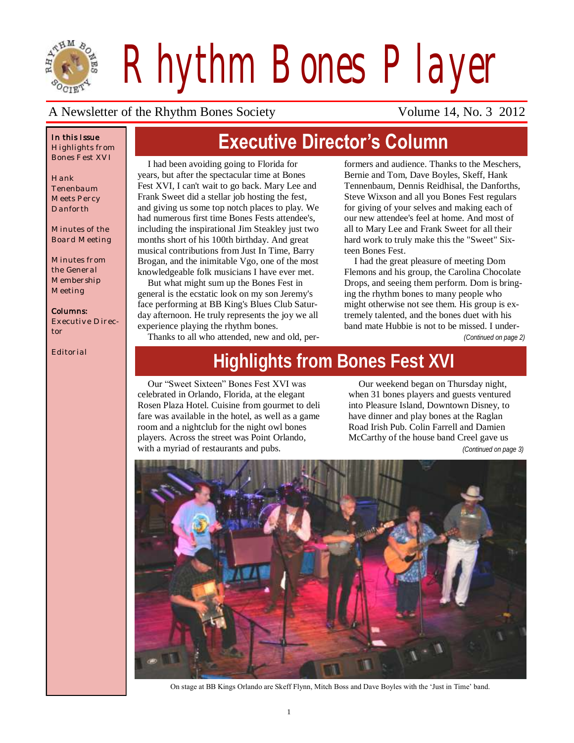

*Rhythm Bones Player*

### A Newsletter of the Rhythm Bones Society Volume 14, No. 3 2012

### *In this Issue Highlights from Bones Fest XVI*

*Hank Tenenbaum Meets Percy Danforth*

*Minutes of the Board Meeting*

*Minutes from the General Membership Meeting*

### *Columns:*

*Executive Director*

*Editorial*

# **Executive Director's Column**

I had been avoiding going to Florida for years, but after the spectacular time at Bones Fest XVI, I can't wait to go back. Mary Lee and Frank Sweet did a stellar job hosting the fest, and giving us some top notch places to play. We had numerous first time Bones Fests attendee's, including the inspirational Jim Steakley just two months short of his 100th birthday. And great musical contributions from Just In Time, Barry Brogan, and the inimitable Vgo, one of the most knowledgeable folk musicians I have ever met.

But what might sum up the Bones Fest in general is the ecstatic look on my son Jeremy's face performing at BB King's Blues Club Saturday afternoon. He truly represents the joy we all experience playing the rhythm bones.

Thanks to all who attended, new and old, per-

formers and audience. Thanks to the Meschers, Bernie and Tom, Dave Boyles, Skeff, Hank Tennenbaum, Dennis Reidhisal, the Danforths, Steve Wixson and all you Bones Fest regulars for giving of your selves and making each of our new attendee's feel at home. And most of all to Mary Lee and Frank Sweet for all their hard work to truly make this the "Sweet" Sixteen Bones Fest.

I had the great pleasure of meeting Dom Flemons and his group, the Carolina Chocolate Drops, and seeing them perform. Dom is bringing the rhythm bones to many people who might otherwise not see them. His group is extremely talented, and the bones duet with his band mate Hubbie is not to be missed. I under-

*(Continued on page 2)*

# **Highlights from Bones Fest XVI**

Our "Sweet Sixteen" Bones Fest XVI was celebrated in Orlando, Florida, at the elegant Rosen Plaza Hotel. Cuisine from gourmet to deli fare was available in the hotel, as well as a game room and a nightclub for the night owl bones players. Across the street was Point Orlando, with a myriad of restaurants and pubs.

Our weekend began on Thursday night, when 31 bones players and guests ventured into Pleasure Island, Downtown Disney, to have dinner and play bones at the Raglan Road Irish Pub. Colin Farrell and Damien McCarthy of the house band Creel gave us *(Continued on page 3)*



On stage at BB Kings Orlando are Skeff Flynn, Mitch Boss and Dave Boyles with the 'Just in Time' band.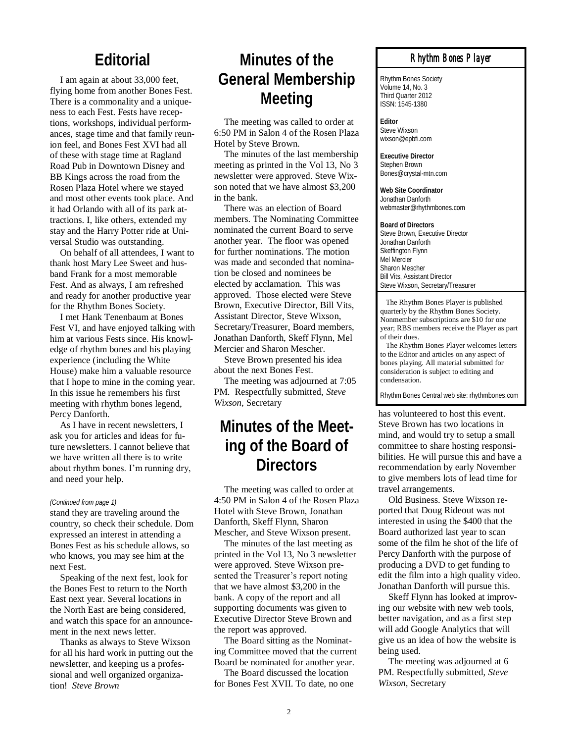### **Editorial**

I am again at about 33,000 feet, flying home from another Bones Fest. There is a commonality and a uniqueness to each Fest. Fests have receptions, workshops, individual performances, stage time and that family reunion feel, and Bones Fest XVI had all of these with stage time at Ragland Road Pub in Downtown Disney and BB Kings across the road from the Rosen Plaza Hotel where we stayed and most other events took place. And it had Orlando with all of its park attractions. I, like others, extended my stay and the Harry Potter ride at Universal Studio was outstanding.

On behalf of all attendees, I want to thank host Mary Lee Sweet and husband Frank for a most memorable Fest. And as always, I am refreshed and ready for another productive year for the Rhythm Bones Society.

I met Hank Tenenbaum at Bones Fest VI, and have enjoyed talking with him at various Fests since. His knowledge of rhythm bones and his playing experience (including the White House) make him a valuable resource that I hope to mine in the coming year. In this issue he remembers his first meeting with rhythm bones legend, Percy Danforth.

As I have in recent newsletters, I ask you for articles and ideas for future newsletters. I cannot believe that we have written all there is to write about rhythm bones. I'm running dry, and need your help.

#### *(Continued from page 1)*

stand they are traveling around the country, so check their schedule. Dom expressed an interest in attending a Bones Fest as his schedule allows, so who knows, you may see him at the next Fest.

Speaking of the next fest, look for the Bones Fest to return to the North East next year. Several locations in the North East are being considered, and watch this space for an announcement in the next news letter.

Thanks as always to Steve Wixson for all his hard work in putting out the newsletter, and keeping us a professional and well organized organization! *Steve Brown*

## **Minutes of the General Membership Meeting**

The meeting was called to order at 6:50 PM in Salon 4 of the Rosen Plaza Hotel by Steve Brown.

The minutes of the last membership meeting as printed in the Vol 13, No 3 newsletter were approved. Steve Wixson noted that we have almost \$3,200 in the bank.

There was an election of Board members. The Nominating Committee nominated the current Board to serve another year. The floor was opened for further nominations. The motion was made and seconded that nomination be closed and nominees be elected by acclamation. This was approved. Those elected were Steve Brown, Executive Director, Bill Vits, Assistant Director, Steve Wixson, Secretary/Treasurer, Board members, Jonathan Danforth, Skeff Flynn, Mel Mercier and Sharon Mescher.

Steve Brown presented his idea about the next Bones Fest.

The meeting was adjourned at 7:05 PM. Respectfully submitted, *Steve Wixson*, Secretary

## **Minutes of the Meeting of the Board of Directors**

The meeting was called to order at 4:50 PM in Salon 4 of the Rosen Plaza Hotel with Steve Brown, Jonathan Danforth, Skeff Flynn, Sharon Mescher, and Steve Wixson present.

The minutes of the last meeting as printed in the Vol 13, No 3 newsletter were approved. Steve Wixson presented the Treasurer's report noting that we have almost \$3,200 in the bank. A copy of the report and all supporting documents was given to Executive Director Steve Brown and the report was approved.

The Board sitting as the Nominating Committee moved that the current Board be nominated for another year.

The Board discussed the location for Bones Fest XVII. To date, no one

### *Rhythm Bones Player*

Rhythm Bones Society Volume 14, No. 3 Third Quarter 2012 ISSN: 1545-1380

**Editor** Steve Wixson wixson@epbfi.com

**Executive Director** Stephen Brown Bones@crystal-mtn.com

**Web Site Coordinator** Jonathan Danforth webmaster@rhythmbones.com

**Board of Directors** Steve Brown, Executive Director Jonathan Danforth Skeffington Flynn Mel Mercier Sharon Mescher Bill Vits, Assistant Director Steve Wixson, Secretary/Treasurer

 The Rhythm Bones Player is published quarterly by the Rhythm Bones Society. Nonmember subscriptions are \$10 for one year; RBS members receive the Player as part of their dues.

 The Rhythm Bones Player welcomes letters to the Editor and articles on any aspect of bones playing. All material submitted for consideration is subject to editing and condensation.

Rhythm Bones Central web site: rhythmbones.com

has volunteered to host this event. Steve Brown has two locations in mind, and would try to setup a small committee to share hosting responsibilities. He will pursue this and have a recommendation by early November to give members lots of lead time for travel arrangements.

Old Business. Steve Wixson reported that Doug Rideout was not interested in using the \$400 that the Board authorized last year to scan some of the film he shot of the life of Percy Danforth with the purpose of producing a DVD to get funding to edit the film into a high quality video. Jonathan Danforth will pursue this.

Skeff Flynn has looked at improving our website with new web tools, better navigation, and as a first step will add Google Analytics that will give us an idea of how the website is being used.

The meeting was adjourned at 6 PM. Respectfully submitted, *Steve Wixson,* Secretary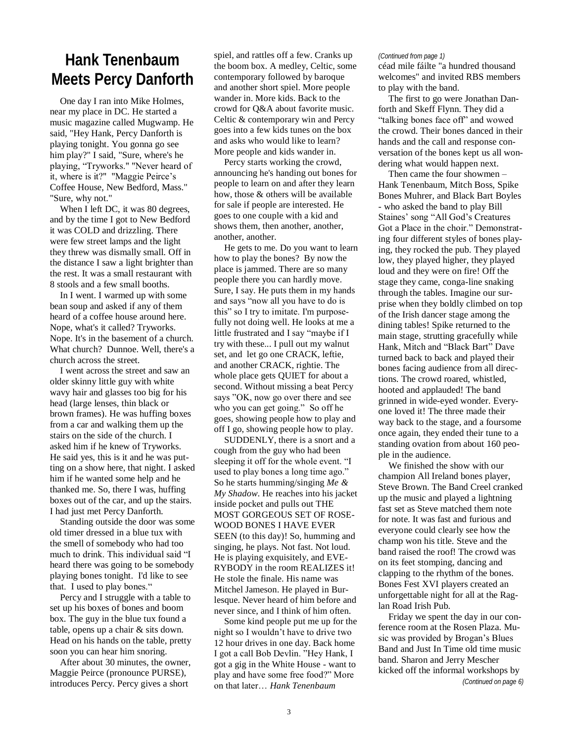## **Hank Tenenbaum Meets Percy Danforth**

One day I ran into Mike Holmes, near my place in DC. He started a music magazine called Mugwamp. He said, "Hey Hank, Percy Danforth is playing tonight. You gonna go see him play?" I said, "Sure, where's he playing, "Tryworks." "Never heard of it, where is it?" "Maggie Peirce's Coffee House, New Bedford, Mass." "Sure, why not."

When I left DC, it was 80 degrees, and by the time I got to New Bedford it was COLD and drizzling. There were few street lamps and the light they threw was dismally small. Off in the distance I saw a light brighter than the rest. It was a small restaurant with 8 stools and a few small booths.

In I went. I warmed up with some bean soup and asked if any of them heard of a coffee house around here. Nope, what's it called? Tryworks. Nope. It's in the basement of a church. What church? Dunnoe. Well, there's a church across the street.

I went across the street and saw an older skinny little guy with white wavy hair and glasses too big for his head (large lenses, thin black or brown frames). He was huffing boxes from a car and walking them up the stairs on the side of the church. I asked him if he knew of Tryworks. He said yes, this is it and he was putting on a show here, that night. I asked him if he wanted some help and he thanked me. So, there I was, huffing boxes out of the car, and up the stairs. I had just met Percy Danforth.

Standing outside the door was some old timer dressed in a blue tux with the smell of somebody who had too much to drink. This individual said "I heard there was going to be somebody playing bones tonight. I'd like to see that. I used to play bones."

Percy and I struggle with a table to set up his boxes of bones and boom box. The guy in the blue tux found a table, opens up a chair & sits down. Head on his hands on the table, pretty soon you can hear him snoring.

After about 30 minutes, the owner, Maggie Peirce (pronounce PURSE), introduces Percy. Percy gives a short

spiel, and rattles off a few. Cranks up the boom box. A medley, Celtic, some contemporary followed by baroque and another short spiel. More people wander in. More kids. Back to the crowd for Q&A about favorite music. Celtic & contemporary win and Percy goes into a few kids tunes on the box and asks who would like to learn? More people and kids wander in.

Percy starts working the crowd, announcing he's handing out bones for people to learn on and after they learn how, those & others will be available for sale if people are interested. He goes to one couple with a kid and shows them, then another, another, another, another.

He gets to me. Do you want to learn how to play the bones? By now the place is jammed. There are so many people there you can hardly move. Sure, I say. He puts them in my hands and says "now all you have to do is this" so I try to imitate. I'm purposefully not doing well. He looks at me a little frustrated and I say "maybe if I try with these... I pull out my walnut set, and let go one CRACK, leftie, and another CRACK, rightie. The whole place gets QUIET for about a second. Without missing a beat Percy says "OK, now go over there and see who you can get going." So off he goes, showing people how to play and off I go, showing people how to play.

SUDDENLY, there is a snort and a cough from the guy who had been sleeping it off for the whole event. "I used to play bones a long time ago." So he starts humming/singing *Me & My Shadow*. He reaches into his jacket inside pocket and pulls out THE MOST GORGEOUS SET OF ROSE-WOOD BONES I HAVE EVER SEEN (to this day)! So, humming and singing, he plays. Not fast. Not loud. He is playing exquisitely, and EVE-RYBODY in the room REALIZES it! He stole the finale. His name was Mitchel Jameson. He played in Burlesque. Never heard of him before and never since, and I think of him often.

Some kind people put me up for the night so I wouldn't have to drive two 12 hour drives in one day. Back home I got a call Bob Devlin. "Hey Hank, I got a gig in the White House - want to play and have some free food?" More on that later… *Hank Tenenbaum*

### *(Continued from page 1)*

céad mile fáilte "a hundred thousand welcomes" and invited RBS members to play with the band.

The first to go were Jonathan Danforth and Skeff Flynn. They did a "talking bones face off" and wowed the crowd. Their bones danced in their hands and the call and response conversation of the bones kept us all wondering what would happen next.

Then came the four showmen – Hank Tenenbaum, Mitch Boss, Spike Bones Muhrer, and Black Bart Boyles - who asked the band to play Bill Staines' song "All God's Creatures Got a Place in the choir." Demonstrating four different styles of bones playing, they rocked the pub. They played low, they played higher, they played loud and they were on fire! Off the stage they came, conga-line snaking through the tables. Imagine our surprise when they boldly climbed on top of the Irish dancer stage among the dining tables! Spike returned to the main stage, strutting gracefully while Hank, Mitch and "Black Bart" Dave turned back to back and played their bones facing audience from all directions. The crowd roared, whistled, hooted and applauded! The band grinned in wide-eyed wonder. Everyone loved it! The three made their way back to the stage, and a foursome once again, they ended their tune to a standing ovation from about 160 people in the audience.

We finished the show with our champion All Ireland bones player, Steve Brown. The Band Creel cranked up the music and played a lightning fast set as Steve matched them note for note. It was fast and furious and everyone could clearly see how the champ won his title. Steve and the band raised the roof! The crowd was on its feet stomping, dancing and clapping to the rhythm of the bones. Bones Fest XVI players created an unforgettable night for all at the Raglan Road Irish Pub.

Friday we spent the day in our conference room at the Rosen Plaza. Music was provided by Brogan's Blues Band and Just In Time old time music band. Sharon and Jerry Mescher kicked off the informal workshops by

*(Continued on page 6)*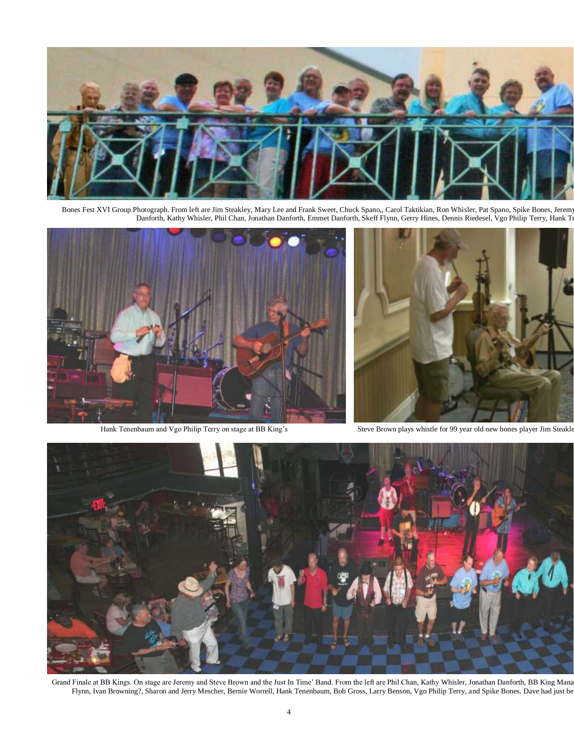

Bones Fest XVI Group Photograph. From left are Jim Steakley, Mary Lee and Frank Sweet, Chuck Spano,, Carol Taktikian, Ron Whisler, Pat Spano, Spike Bones, Jerem Danforth, Kathy Whisler, Phil Chan, Jonathan Danforth, Emmet Danforth, Skeff Flynn, Gerry Hines, Dennis Riedesel, Vgo Philip Terry, Hank To





Hank Tenenbaum and Vgo Philip Terry on stage at BB King's Steve Brown plays whistle for 99 year old new bones player Jim Steakle



Grand Finale at BB Kings. On stage are Jeremy and Steve Brown and the Just In Time' Band. From the left are Phil Chan, Kathy Whisler, Jonathan Danforth, BB King Mana Flynn, Ivan Browning?, Sharon and Jerry Mescher, Bernie Worrell, Hank Tenenbaum, Bob Gross, Larry Benson, Vgo Philip Terry, and Spike Bones. Dave had just be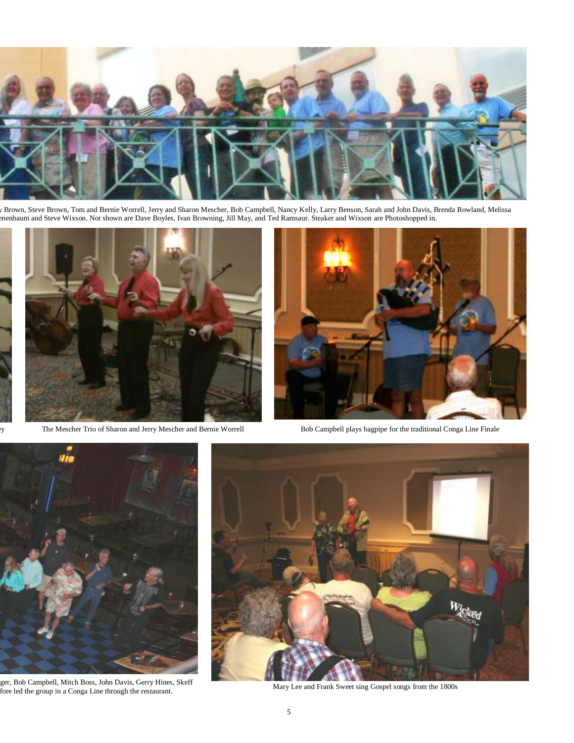

Brown, Steve Brown, Tom and Bernie Worrell, Jerry and Sharon Mescher, Bob Campbell, Nancy Kelly, Larry Benson, Sarah and John Davis, Brenda Rowland, Melissa enenbaum and Steve Wixson. Not shown are Dave Boyles, Ivan Browning, Jill May, and Ted Ramsaur. Steaker and Wixson are Photoshopped in.



Step The Mescher Trio of Sharon and Jerry Mescher and Bernie Worrell Bob Campbell plays bagpipe for the traditional Conga Line Finale





ger, Bob Campbell, Mitch Boss, John Davis, Gerry Hines, Skeff fore led the group in a Conga Line through the restaurant.



Mary Lee and Frank Sweet sing Gospel songs from the 1800s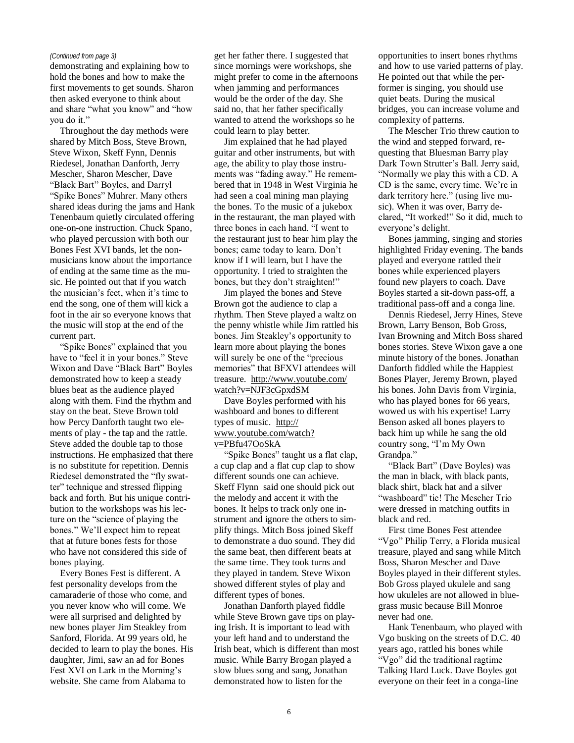demonstrating and explaining how to hold the bones and how to make the first movements to get sounds. Sharon then asked everyone to think about and share "what you know" and "how you do it."

Throughout the day methods were shared by Mitch Boss, Steve Brown, Steve Wixon, Skeff Fynn, Dennis Riedesel, Jonathan Danforth, Jerry Mescher, Sharon Mescher, Dave "Black Bart" Boyles, and Darryl "Spike Bones" Muhrer. Many others shared ideas during the jams and Hank Tenenbaum quietly circulated offering one-on-one instruction. Chuck Spano, who played percussion with both our Bones Fest XVI bands, let the nonmusicians know about the importance of ending at the same time as the music. He pointed out that if you watch the musician's feet, when it's time to end the song, one of them will kick a foot in the air so everyone knows that the music will stop at the end of the current part.

"Spike Bones" explained that you have to "feel it in your bones." Steve Wixon and Dave "Black Bart" Boyles demonstrated how to keep a steady blues beat as the audience played along with them. Find the rhythm and stay on the beat. Steve Brown told how Percy Danforth taught two elements of play - the tap and the rattle. Steve added the double tap to those instructions. He emphasized that there is no substitute for repetition. Dennis Riedesel demonstrated the "fly swatter" technique and stressed flipping back and forth. But his unique contribution to the workshops was his lecture on the "science of playing the bones." We'll expect him to repeat that at future bones fests for those who have not considered this side of bones playing.

Every Bones Fest is different. A fest personality develops from the camaraderie of those who come, and you never know who will come. We were all surprised and delighted by new bones player Jim Steakley from Sanford, Florida. At 99 years old, he decided to learn to play the bones. His daughter, Jimi, saw an ad for Bones Fest XVI on Lark in the Morning's website. She came from Alabama to

*(Continued from page 3)* get her father there. I suggested that since mornings were workshops, she might prefer to come in the afternoons when jamming and performances would be the order of the day. She said no, that her father specifically wanted to attend the workshops so he could learn to play better.

> Jim explained that he had played guitar and other instruments, but with age, the ability to play those instruments was "fading away." He remembered that in 1948 in West Virginia he had seen a coal mining man playing the bones. To the music of a jukebox in the restaurant, the man played with three bones in each hand. "I went to the restaurant just to hear him play the bones; came today to learn. Don't know if I will learn, but I have the opportunity. I tried to straighten the bones, but they don't straighten!"

> Jim played the bones and Steve Brown got the audience to clap a rhythm. Then Steve played a waltz on the penny whistle while Jim rattled his bones. Jim Steakley's opportunity to learn more about playing the bones will surely be one of the "precious memories" that BFXVI attendees will treasure. [http://www.youtube.com/](http://www.youtube.com/watch?v=NJF3cGpxdSM) [watch?v=NJF3cGpxdSM](http://www.youtube.com/watch?v=NJF3cGpxdSM)

Dave Boyles performed with his washboard and bones to different types of music. [http://](http://www.youtube.com/watch?v=PBfu47OoSkA) [www.youtube.com/watch?](http://www.youtube.com/watch?v=PBfu47OoSkA) [v=PBfu47OoSkA](http://www.youtube.com/watch?v=PBfu47OoSkA)

"Spike Bones" taught us a flat clap, a cup clap and a flat cup clap to show different sounds one can achieve. Skeff Flynn said one should pick out the melody and accent it with the bones. It helps to track only one instrument and ignore the others to simplify things. Mitch Boss joined Skeff to demonstrate a duo sound. They did the same beat, then different beats at the same time. They took turns and they played in tandem. Steve Wixon showed different styles of play and different types of bones.

Jonathan Danforth played fiddle while Steve Brown gave tips on playing Irish. It is important to lead with your left hand and to understand the Irish beat, which is different than most music. While Barry Brogan played a slow blues song and sang, Jonathan demonstrated how to listen for the

opportunities to insert bones rhythms and how to use varied patterns of play. He pointed out that while the performer is singing, you should use quiet beats. During the musical bridges, you can increase volume and complexity of patterns.

The Mescher Trio threw caution to the wind and stepped forward, requesting that Bluesman Barry play Dark Town Strutter's Ball. Jerry said, "Normally we play this with a CD. A CD is the same, every time. We're in dark territory here." (using live music). When it was over, Barry declared, "It worked!" So it did, much to everyone's delight.

Bones jamming, singing and stories highlighted Friday evening. The bands played and everyone rattled their bones while experienced players found new players to coach. Dave Boyles started a sit-down pass-off, a traditional pass-off and a conga line.

Dennis Riedesel, Jerry Hines, Steve Brown, Larry Benson, Bob Gross, Ivan Browning and Mitch Boss shared bones stories. Steve Wixon gave a one minute history of the bones. Jonathan Danforth fiddled while the Happiest Bones Player, Jeremy Brown, played his bones. John Davis from Virginia, who has played bones for 66 years, wowed us with his expertise! Larry Benson asked all bones players to back him up while he sang the old country song, "I'm My Own Grandpa."

"Black Bart" (Dave Boyles) was the man in black, with black pants, black shirt, black hat and a silver "washboard" tie! The Mescher Trio were dressed in matching outfits in black and red.

First time Bones Fest attendee "Vgo" Philip Terry, a Florida musical treasure, played and sang while Mitch Boss, Sharon Mescher and Dave Boyles played in their different styles. Bob Gross played ukulele and sang how ukuleles are not allowed in bluegrass music because Bill Monroe never had one.

Hank Tenenbaum, who played with Vgo busking on the streets of D.C. 40 years ago, rattled his bones while "Vgo" did the traditional ragtime Talking Hard Luck. Dave Boyles got everyone on their feet in a conga-line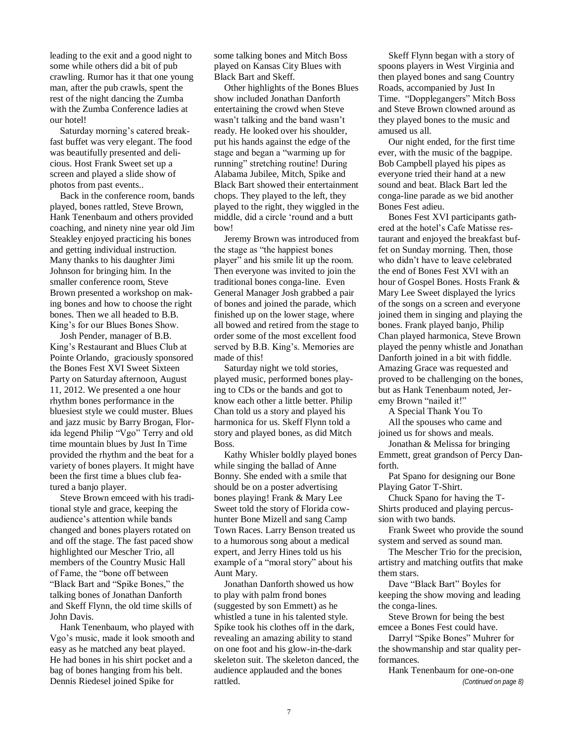leading to the exit and a good night to some while others did a bit of pub crawling. Rumor has it that one young man, after the pub crawls, spent the rest of the night dancing the Zumba with the Zumba Conference ladies at our hotel!

Saturday morning's catered breakfast buffet was very elegant. The food was beautifully presented and delicious. Host Frank Sweet set up a screen and played a slide show of photos from past events..

Back in the conference room, bands played, bones rattled, Steve Brown, Hank Tenenbaum and others provided coaching, and ninety nine year old Jim Steakley enjoyed practicing his bones and getting individual instruction. Many thanks to his daughter Jimi Johnson for bringing him. In the smaller conference room, Steve Brown presented a workshop on making bones and how to choose the right bones. Then we all headed to B.B. King's for our Blues Bones Show.

Josh Pender, manager of B.B. King's Restaurant and Blues Club at Pointe Orlando, graciously sponsored the Bones Fest XVI Sweet Sixteen Party on Saturday afternoon, August 11, 2012. We presented a one hour rhythm bones performance in the bluesiest style we could muster. Blues and jazz music by Barry Brogan, Florida legend Philip "Vgo" Terry and old time mountain blues by Just In Time provided the rhythm and the beat for a variety of bones players. It might have been the first time a blues club featured a banjo player.

Steve Brown emceed with his traditional style and grace, keeping the audience's attention while bands changed and bones players rotated on and off the stage. The fast paced show highlighted our Mescher Trio, all members of the Country Music Hall of Fame, the "bone off between "Black Bart and "Spike Bones," the talking bones of Jonathan Danforth and Skeff Flynn, the old time skills of John Davis.

Hank Tenenbaum, who played with Vgo's music, made it look smooth and easy as he matched any beat played. He had bones in his shirt pocket and a bag of bones hanging from his belt. Dennis Riedesel joined Spike for

some talking bones and Mitch Boss played on Kansas City Blues with Black Bart and Skeff.

Other highlights of the Bones Blues show included Jonathan Danforth entertaining the crowd when Steve wasn't talking and the band wasn't ready. He looked over his shoulder, put his hands against the edge of the stage and began a "warming up for running" stretching routine! During Alabama Jubilee, Mitch, Spike and Black Bart showed their entertainment chops. They played to the left, they played to the right, they wiggled in the middle, did a circle 'round and a butt bow!

Jeremy Brown was introduced from the stage as "the happiest bones player" and his smile lit up the room. Then everyone was invited to join the traditional bones conga-line. Even General Manager Josh grabbed a pair of bones and joined the parade, which finished up on the lower stage, where all bowed and retired from the stage to order some of the most excellent food served by B.B. King's. Memories are made of this!

Saturday night we told stories, played music, performed bones playing to CDs or the bands and got to know each other a little better. Philip Chan told us a story and played his harmonica for us. Skeff Flynn told a story and played bones, as did Mitch Boss.

Kathy Whisler boldly played bones while singing the ballad of Anne Bonny. She ended with a smile that should be on a poster advertising bones playing! Frank & Mary Lee Sweet told the story of Florida cowhunter Bone Mizell and sang Camp Town Races. Larry Benson treated us to a humorous song about a medical expert, and Jerry Hines told us his example of a "moral story" about his Aunt Mary.

Jonathan Danforth showed us how to play with palm frond bones (suggested by son Emmett) as he whistled a tune in his talented style. Spike took his clothes off in the dark, revealing an amazing ability to stand on one foot and his glow-in-the-dark skeleton suit. The skeleton danced, the audience applauded and the bones rattled.

Skeff Flynn began with a story of spoons players in West Virginia and then played bones and sang Country Roads, accompanied by Just In Time. "Dopplegangers" Mitch Boss and Steve Brown clowned around as they played bones to the music and amused us all.

Our night ended, for the first time ever, with the music of the bagpipe. Bob Campbell played his pipes as everyone tried their hand at a new sound and beat. Black Bart led the conga-line parade as we bid another Bones Fest adieu.

Bones Fest XVI participants gathered at the hotel's Cafe Matisse restaurant and enjoyed the breakfast buffet on Sunday morning. Then, those who didn't have to leave celebrated the end of Bones Fest XVI with an hour of Gospel Bones. Hosts Frank & Mary Lee Sweet displayed the lyrics of the songs on a screen and everyone joined them in singing and playing the bones. Frank played banjo, Philip Chan played harmonica, Steve Brown played the penny whistle and Jonathan Danforth joined in a bit with fiddle. Amazing Grace was requested and proved to be challenging on the bones, but as Hank Tenenbaum noted, Jeremy Brown "nailed it!"

A Special Thank You To

All the spouses who came and joined us for shows and meals.

Jonathan & Melissa for bringing Emmett, great grandson of Percy Danforth.

Pat Spano for designing our Bone Playing Gator T-Shirt.

Chuck Spano for having the T-Shirts produced and playing percussion with two bands.

Frank Sweet who provide the sound system and served as sound man.

The Mescher Trio for the precision, artistry and matching outfits that make them stars.

Dave "Black Bart" Boyles for keeping the show moving and leading the conga-lines.

Steve Brown for being the best emcee a Bones Fest could have.

Darryl "Spike Bones" Muhrer for the showmanship and star quality performances.

Hank Tenenbaum for one-on-one *(Continued on page 8)*